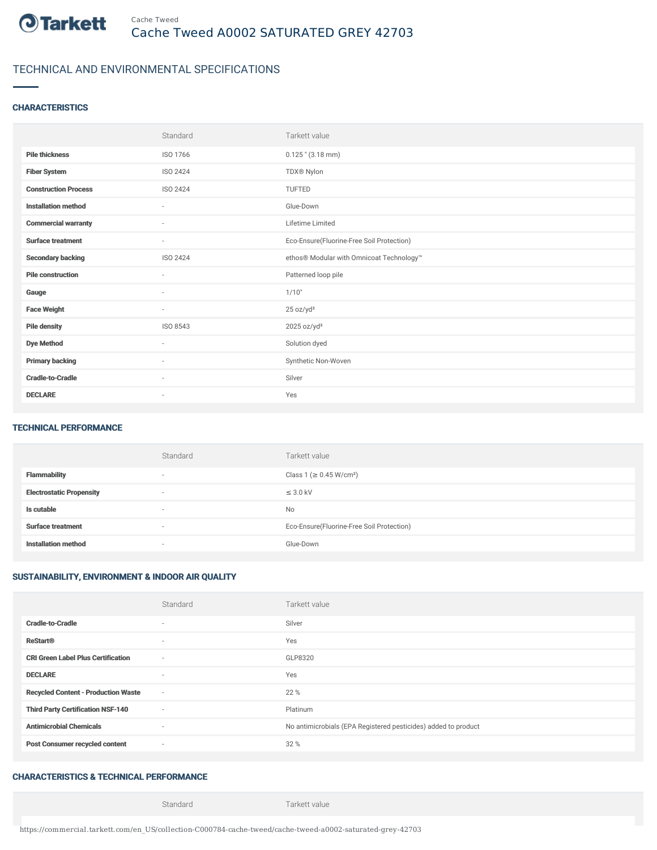

# TECHNICAL AND ENVIRONMENTAL SPECIFICATIONS

## **CHARACTERISTICS**

|                             | Standard                 | Tarkett value                             |
|-----------------------------|--------------------------|-------------------------------------------|
| <b>Pile thickness</b>       | ISO 1766                 | $0.125$ " $(3.18$ mm)                     |
| <b>Fiber System</b>         | ISO 2424                 | TDX® Nylon                                |
| <b>Construction Process</b> | <b>ISO 2424</b>          | <b>TUFTED</b>                             |
| <b>Installation method</b>  | $\sim$                   | Glue-Down                                 |
| <b>Commercial warranty</b>  | $\overline{\phantom{a}}$ | Lifetime Limited                          |
| <b>Surface treatment</b>    | $\sim$                   | Eco-Ensure(Fluorine-Free Soil Protection) |
| <b>Secondary backing</b>    | ISO 2424                 | ethos® Modular with Omnicoat Technology™  |
| <b>Pile construction</b>    | $\sim$                   | Patterned loop pile                       |
| Gauge                       | $\sim$                   | 1/10"                                     |
| <b>Face Weight</b>          | $\sim$                   | 25 oz/yd <sup>2</sup>                     |
| <b>Pile density</b>         | ISO 8543                 | $2025$ oz/yd <sup>3</sup>                 |
| <b>Dye Method</b>           | $\sim$                   | Solution dyed                             |
| <b>Primary backing</b>      | $\sim$                   | Synthetic Non-Woven                       |
| <b>Cradle-to-Cradle</b>     | $\overline{\phantom{a}}$ | Silver                                    |
| <b>DECLARE</b>              | $\overline{\phantom{a}}$ | Yes                                       |

#### TECHNICAL PERFORMANCE

|                                 | Standard                 | Tarkett value                             |
|---------------------------------|--------------------------|-------------------------------------------|
| <b>Flammability</b>             | $\overline{\phantom{a}}$ | Class 1 (≥ 0.45 W/cm <sup>2</sup> )       |
| <b>Electrostatic Propensity</b> | $\overline{\phantom{a}}$ | $\leq$ 3.0 kV                             |
| Is cutable                      | $\overline{\phantom{a}}$ | No                                        |
| <b>Surface treatment</b>        | $\overline{\phantom{a}}$ | Eco-Ensure(Fluorine-Free Soil Protection) |
| <b>Installation method</b>      | $\overline{\phantom{a}}$ | Glue-Down                                 |

# SUSTAINABILITY, ENVIRONMENT & INDOOR AIR QUALITY

|                                            | Standard                 | Tarkett value                                                  |
|--------------------------------------------|--------------------------|----------------------------------------------------------------|
| <b>Cradle-to-Cradle</b>                    | ٠                        | Silver                                                         |
| <b>ReStart®</b>                            | $\overline{\phantom{a}}$ | Yes                                                            |
| <b>CRI Green Label Plus Certification</b>  | $\sim$                   | GLP8320                                                        |
| <b>DECLARE</b>                             | $\sim$                   | Yes                                                            |
| <b>Recycled Content - Production Waste</b> | $\overline{\phantom{a}}$ | 22 %                                                           |
| <b>Third Party Certification NSF-140</b>   | $\sim$                   | Platinum                                                       |
| <b>Antimicrobial Chemicals</b>             | $\sim$                   | No antimicrobials (EPA Registered pesticides) added to product |
| <b>Post Consumer recycled content</b>      | $\sim$                   | 32 %                                                           |

## CHARACTERISTICS & TECHNICAL PERFORMANCE

Standard Tarkett value